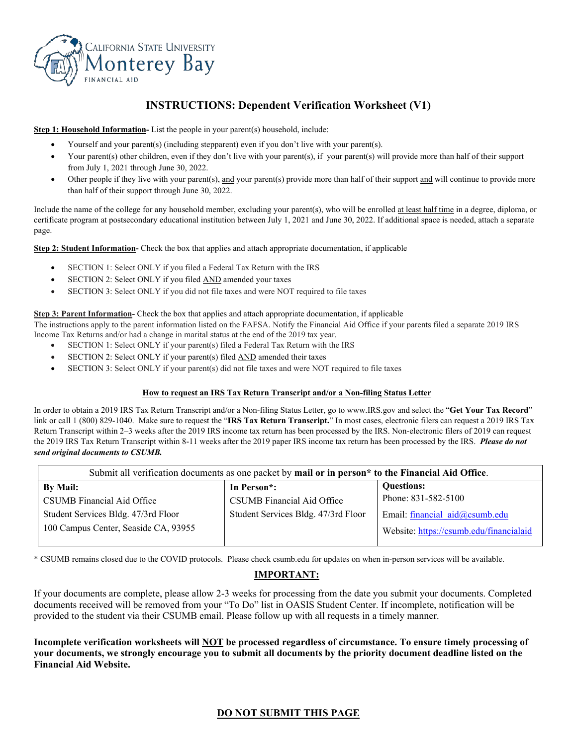

# **INSTRUCTIONS: Dependent Verification Worksheet (V1)**

**Step 1: Household Information-** List the people in your parent(s) household, include:

- Yourself and your parent(s) (including stepparent) even if you don't live with your parent(s).
- Your parent(s) other children, even if they don't live with your parent(s), if your parent(s) will provide more than half of their support from July 1, 2021 through June 30, 2022.
- Other people if they live with your parent(s), and your parent(s) provide more than half of their support and will continue to provide more than half of their support through June 30, 2022.

Include the name of the college for any household member, excluding your parent(s), who will be enrolled at least half time in a degree, diploma, or certificate program at postsecondary educational institution between July 1, 2021 and June 30, 2022. If additional space is needed, attach a separate page.

**Step 2: Student Information-** Check the box that applies and attach appropriate documentation, if applicable

- SECTION 1: Select ONLY if you filed a Federal Tax Return with the IRS
- SECTION 2: Select ONLY if you filed **AND** amended your taxes
- SECTION 3: Select ONLY if you did not file taxes and were NOT required to file taxes

#### **Step 3: Parent Information-** Check the box that applies and attach appropriate documentation, if applicable

The instructions apply to the parent information listed on the FAFSA. Notify the Financial Aid Office if your parents filed a separate 2019 IRS Income Tax Returns and/or had a change in marital status at the end of the 2019 tax year.

- SECTION 1: Select ONLY if your parent(s) filed a Federal Tax Return with the IRS
- SECTION 2: Select ONLY if your parent(s) filed **AND** amended their taxes
- SECTION 3: Select ONLY if your parent(s) did not file taxes and were NOT required to file taxes

#### **How to request an IRS Tax Return Transcript and/or a Non-filing Status Letter**

In order to obtain a 2019 IRS Tax Return Transcript and/or a Non-filing Status Letter, go to www.IRS.gov and select the "**Get Your Tax Record**" link or call 1 (800) 829-1040. Make sure to request the "**IRS Tax Return Transcript.**" In most cases, electronic filers can request a 2019 IRS Tax Return Transcript within 2–3 weeks after the 2019 IRS income tax return has been processed by the IRS. Non-electronic filers of 2019 can request the 2019 IRS Tax Return Transcript within 8-11 weeks after the 2019 paper IRS income tax return has been processed by the IRS. *Please do not send original documents to CSUMB.*

| Submit all verification documents as one packet by mail or in person* to the Financial Aid Office. |                                     |                                         |  |
|----------------------------------------------------------------------------------------------------|-------------------------------------|-----------------------------------------|--|
| <b>By Mail:</b>                                                                                    | In Person <sup>*</sup> :            | <b>Ouestions:</b>                       |  |
| CSUMB Financial Aid Office                                                                         | CSUMB Financial Aid Office          | Phone: 831-582-5100                     |  |
| Student Services Bldg. 47/3rd Floor                                                                | Student Services Bldg. 47/3rd Floor | Email: financial aid@csumb.edu          |  |
| 100 Campus Center, Seaside CA, 93955                                                               |                                     | Website: https://csumb.edu/financialaid |  |

\* CSUMB remains closed due to the COVID protocols. Please check csumb.edu for updates on when in-person services will be available.

## **IMPORTANT:**

If your documents are complete, please allow 2-3 weeks for processing from the date you submit your documents. Completed documents received will be removed from your "To Do" list in OASIS Student Center. If incomplete, notification will be provided to the student via their CSUMB email. Please follow up with all requests in a timely manner.

**Incomplete verification worksheets will NOT be processed regardless of circumstance. To ensure timely processing of your documents, we strongly encourage you to submit all documents by the priority document deadline listed on the Financial Aid Website.**

## **DO NOT SUBMIT THIS PAGE**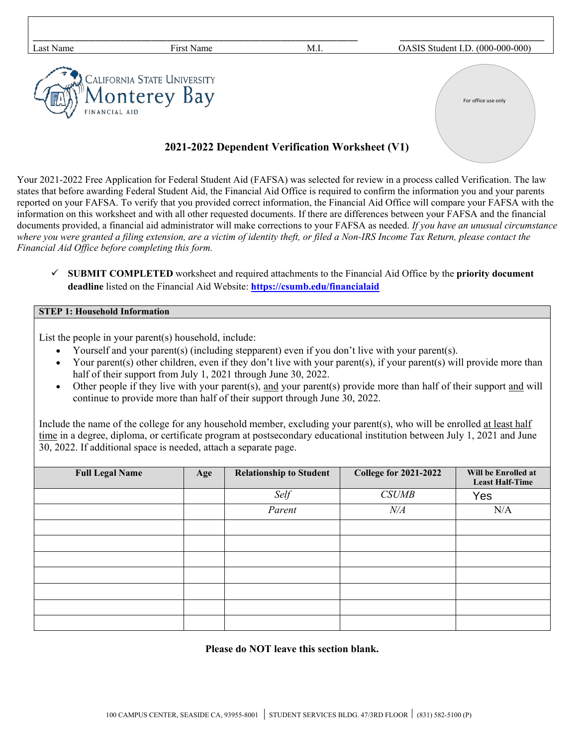| Last Name     | First Name                                  | M.I. | OASIS Student I.D. (000-000-000) |
|---------------|---------------------------------------------|------|----------------------------------|
| FINANCIAL AID | CALIFORNIA STATE UNIVERSITY<br>Monterey Bay |      | For office use only              |

# **2021-2022 Dependent Verification Worksheet (V1)**

Your 2021-2022 Free Application for Federal Student Aid (FAFSA) was selected for review in a process called Verification. The law states that before awarding Federal Student Aid, the Financial Aid Office is required to confirm the information you and your parents reported on your FAFSA. To verify that you provided correct information, the Financial Aid Office will compare your FAFSA with the information on this worksheet and with all other requested documents. If there are differences between your FAFSA and the financial documents provided, a financial aid administrator will make corrections to your FAFSA as needed. *If you have an unusual circumstance where you were granted a filing extension, are a victim of identity theft, or filed a Non-IRS Income Tax Return, please contact the Financial Aid Office before completing this form.*

 **SUBMIT COMPLETED** worksheet and required attachments to the Financial Aid Office by the **priority document deadline** listed on the Financial Aid Website: **<https://csumb.edu/financialaid>**

### **STEP 1: Household Information**

List the people in your parent(s) household, include:

- Yourself and your parent(s) (including stepparent) even if you don't live with your parent(s).
- Your parent(s) other children, even if they don't live with your parent(s), if your parent(s) will provide more than half of their support from July 1, 2021 through June 30, 2022.
- Other people if they live with your parent(s), and your parent(s) provide more than half of their support and will continue to provide more than half of their support through June 30, 2022.

Include the name of the college for any household member, excluding your parent(s), who will be enrolled at least half time in a degree, diploma, or certificate program at postsecondary educational institution between July 1, 2021 and June 30, 2022. If additional space is needed, attach a separate page.

| <b>Full Legal Name</b> | Age | <b>Relationship to Student</b> | <b>College for 2021-2022</b> | Will be Enrolled at<br><b>Least Half-Time</b> |
|------------------------|-----|--------------------------------|------------------------------|-----------------------------------------------|
|                        |     | Self                           | <b>CSUMB</b>                 | Yes                                           |
|                        |     | Parent                         | $N\!/\!A$                    | N/A                                           |
|                        |     |                                |                              |                                               |
|                        |     |                                |                              |                                               |
|                        |     |                                |                              |                                               |
|                        |     |                                |                              |                                               |
|                        |     |                                |                              |                                               |
|                        |     |                                |                              |                                               |
|                        |     |                                |                              |                                               |

### **Please do NOT leave this section blank.**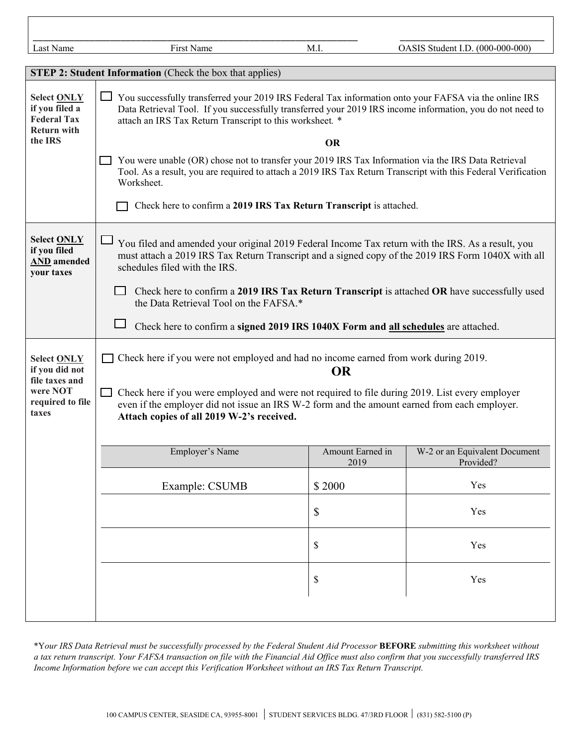| Last Name                                                                                       | First Name                                                                                                                                                                                                                                                                                                                                      | M.I.                      | OASIS Student I.D. (000-000-000)           |
|-------------------------------------------------------------------------------------------------|-------------------------------------------------------------------------------------------------------------------------------------------------------------------------------------------------------------------------------------------------------------------------------------------------------------------------------------------------|---------------------------|--------------------------------------------|
|                                                                                                 | <b>STEP 2: Student Information</b> (Check the box that applies)                                                                                                                                                                                                                                                                                 |                           |                                            |
| <b>Select ONLY</b><br>if you filed a<br><b>Federal Tax</b><br><b>Return with</b><br>the IRS     | You successfully transferred your 2019 IRS Federal Tax information onto your FAFSA via the online IRS<br>Data Retrieval Tool. If you successfully transferred your 2019 IRS income information, you do not need to<br>attach an IRS Tax Return Transcript to this worksheet. *<br><b>OR</b>                                                     |                           |                                            |
|                                                                                                 | You were unable (OR) chose not to transfer your 2019 IRS Tax Information via the IRS Data Retrieval<br>Tool. As a result, you are required to attach a 2019 IRS Tax Return Transcript with this Federal Verification<br>Worksheet.<br>Check here to confirm a 2019 IRS Tax Return Transcript is attached.                                       |                           |                                            |
| <b>Select ONLY</b><br>if you filed<br><b>AND</b> amended<br>your taxes                          | You filed and amended your original 2019 Federal Income Tax return with the IRS. As a result, you<br>must attach a 2019 IRS Tax Return Transcript and a signed copy of the 2019 IRS Form 1040X with all<br>schedules filed with the IRS.<br>$\Box$ Check here to confirm a 2019 IRS Tax Return Transcript is attached OR have successfully used |                           |                                            |
|                                                                                                 | the Data Retrieval Tool on the FAFSA.*<br>Check here to confirm a signed 2019 IRS 1040X Form and all schedules are attached.                                                                                                                                                                                                                    |                           |                                            |
| <b>Select ONLY</b><br>if you did not<br>file taxes and<br>were NOT<br>required to file<br>taxes | Check here if you were not employed and had no income earned from work during 2019.<br><b>OR</b><br>Check here if you were employed and were not required to file during 2019. List every employer<br>even if the employer did not issue an IRS W-2 form and the amount earned from each employer.<br>Attach copies of all 2019 W-2's received. |                           |                                            |
|                                                                                                 | Employer's Name                                                                                                                                                                                                                                                                                                                                 | Amount Earned in<br>2019  | W-2 or an Equivalent Document<br>Provided? |
|                                                                                                 | Example: CSUMB                                                                                                                                                                                                                                                                                                                                  | \$2000                    | Yes                                        |
|                                                                                                 |                                                                                                                                                                                                                                                                                                                                                 | $\boldsymbol{\mathsf{S}}$ | Yes                                        |
|                                                                                                 |                                                                                                                                                                                                                                                                                                                                                 | \$                        | Yes                                        |
|                                                                                                 |                                                                                                                                                                                                                                                                                                                                                 | \$                        | Yes                                        |
|                                                                                                 |                                                                                                                                                                                                                                                                                                                                                 |                           |                                            |

\*Y*our IRS Data Retrieval must be successfully processed by the Federal Student Aid Processor* **BEFORE** *submitting this worksheet without a tax return transcript. Your FAFSA transaction on file with the Financial Aid Office must also confirm that you successfully transferred IRS Income Information before we can accept this Verification Worksheet without an IRS Tax Return Transcript.*